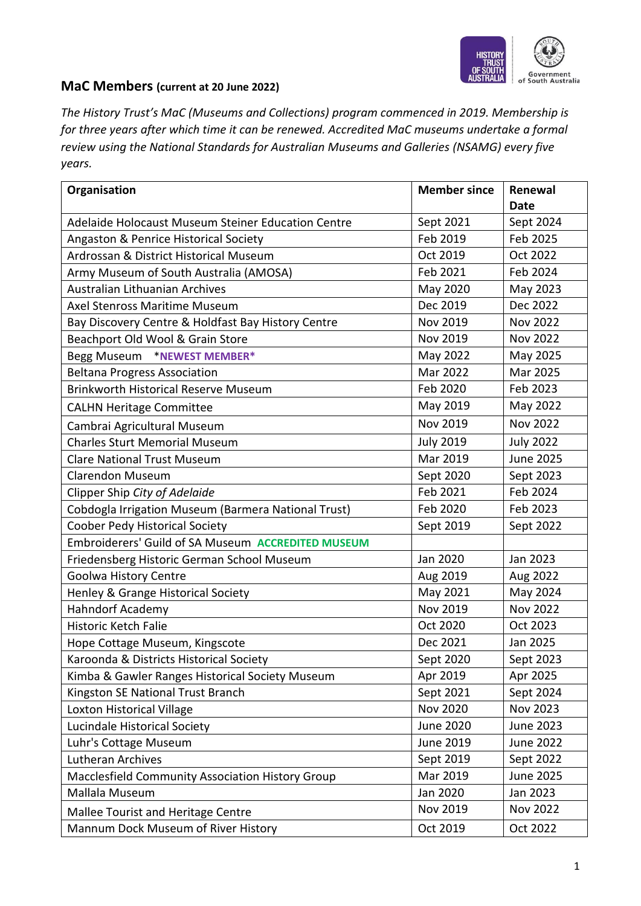

## **MaC Members (current at 20 June 2022)**

*The History Trust's MaC (Museums and Collections) program commenced in 2019. Membership is for three years after which time it can be renewed. Accredited MaC museums undertake a formal review using the National Standards for Australian Museums and Galleries (NSAMG) every five years.*

| Organisation                                            | <b>Member since</b> | Renewal<br>Date  |
|---------------------------------------------------------|---------------------|------------------|
| Adelaide Holocaust Museum Steiner Education Centre      | Sept 2021           | Sept 2024        |
| Angaston & Penrice Historical Society                   | Feb 2019            | Feb 2025         |
| Ardrossan & District Historical Museum                  | Oct 2019            | Oct 2022         |
| Army Museum of South Australia (AMOSA)                  | Feb 2021            | Feb 2024         |
| Australian Lithuanian Archives                          | May 2020            | May 2023         |
| Axel Stenross Maritime Museum                           | Dec 2019            | Dec 2022         |
| Bay Discovery Centre & Holdfast Bay History Centre      | Nov 2019            | <b>Nov 2022</b>  |
| Beachport Old Wool & Grain Store                        | Nov 2019            | <b>Nov 2022</b>  |
| Begg Museum *NEWEST MEMBER*                             | May 2022            | May 2025         |
| <b>Beltana Progress Association</b>                     | Mar 2022            | Mar 2025         |
| <b>Brinkworth Historical Reserve Museum</b>             | Feb 2020            | Feb 2023         |
| <b>CALHN Heritage Committee</b>                         | May 2019            | May 2022         |
| Cambrai Agricultural Museum                             | <b>Nov 2019</b>     | <b>Nov 2022</b>  |
| <b>Charles Sturt Memorial Museum</b>                    | <b>July 2019</b>    | <b>July 2022</b> |
| <b>Clare National Trust Museum</b>                      | Mar 2019            | <b>June 2025</b> |
| <b>Clarendon Museum</b>                                 | Sept 2020           | Sept 2023        |
| Clipper Ship City of Adelaide                           | Feb 2021            | Feb 2024         |
| Cobdogla Irrigation Museum (Barmera National Trust)     | Feb 2020            | Feb 2023         |
| Coober Pedy Historical Society                          | Sept 2019           | Sept 2022        |
| Embroiderers' Guild of SA Museum ACCREDITED MUSEUM      |                     |                  |
| Friedensberg Historic German School Museum              | Jan 2020            | Jan 2023         |
| <b>Goolwa History Centre</b>                            | Aug 2019            | Aug 2022         |
| Henley & Grange Historical Society                      | May 2021            | May 2024         |
| <b>Hahndorf Academy</b>                                 | <b>Nov 2019</b>     | <b>Nov 2022</b>  |
| <b>Historic Ketch Falie</b>                             | Oct 2020            | Oct 2023         |
| Hope Cottage Museum, Kingscote                          | Dec 2021            | Jan 2025         |
| Karoonda & Districts Historical Society                 | Sept 2020           | Sept 2023        |
| Kimba & Gawler Ranges Historical Society Museum         | Apr 2019            | Apr 2025         |
| Kingston SE National Trust Branch                       | Sept 2021           | Sept 2024        |
| Loxton Historical Village                               | <b>Nov 2020</b>     | Nov 2023         |
| Lucindale Historical Society                            | <b>June 2020</b>    | <b>June 2023</b> |
| Luhr's Cottage Museum                                   | June 2019           | <b>June 2022</b> |
| <b>Lutheran Archives</b>                                | Sept 2019           | Sept 2022        |
| <b>Macclesfield Community Association History Group</b> | Mar 2019            | <b>June 2025</b> |
| Mallala Museum                                          | Jan 2020            | Jan 2023         |
| Mallee Tourist and Heritage Centre                      | Nov 2019            | <b>Nov 2022</b>  |
| Mannum Dock Museum of River History                     | Oct 2019            | Oct 2022         |